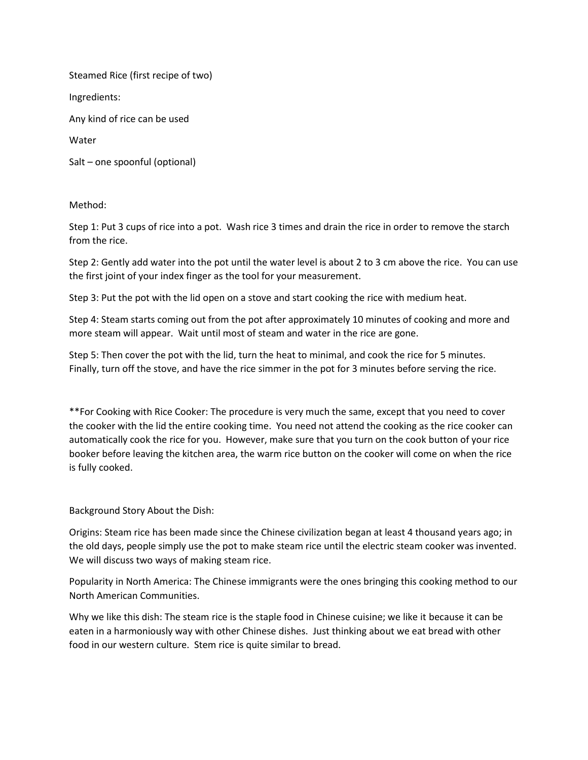Steamed Rice (first recipe of two)

Ingredients:

Any kind of rice can be used

Water

Salt – one spoonful (optional)

Method:

Step 1: Put 3 cups of rice into a pot. Wash rice 3 times and drain the rice in order to remove the starch from the rice.

Step 2: Gently add water into the pot until the water level is about 2 to 3 cm above the rice. You can use the first joint of your index finger as the tool for your measurement.

Step 3: Put the pot with the lid open on a stove and start cooking the rice with medium heat.

Step 4: Steam starts coming out from the pot after approximately 10 minutes of cooking and more and more steam will appear. Wait until most of steam and water in the rice are gone.

Step 5: Then cover the pot with the lid, turn the heat to minimal, and cook the rice for 5 minutes. Finally, turn off the stove, and have the rice simmer in the pot for 3 minutes before serving the rice.

\*\*For Cooking with Rice Cooker: The procedure is very much the same, except that you need to cover the cooker with the lid the entire cooking time. You need not attend the cooking as the rice cooker can automatically cook the rice for you. However, make sure that you turn on the cook button of your rice booker before leaving the kitchen area, the warm rice button on the cooker will come on when the rice is fully cooked.

Background Story About the Dish:

Origins: Steam rice has been made since the Chinese civilization began at least 4 thousand years ago; in the old days, people simply use the pot to make steam rice until the electric steam cooker was invented. We will discuss two ways of making steam rice.

Popularity in North America: The Chinese immigrants were the ones bringing this cooking method to our North American Communities.

Why we like this dish: The steam rice is the staple food in Chinese cuisine; we like it because it can be eaten in a harmoniously way with other Chinese dishes. Just thinking about we eat bread with other food in our western culture. Stem rice is quite similar to bread.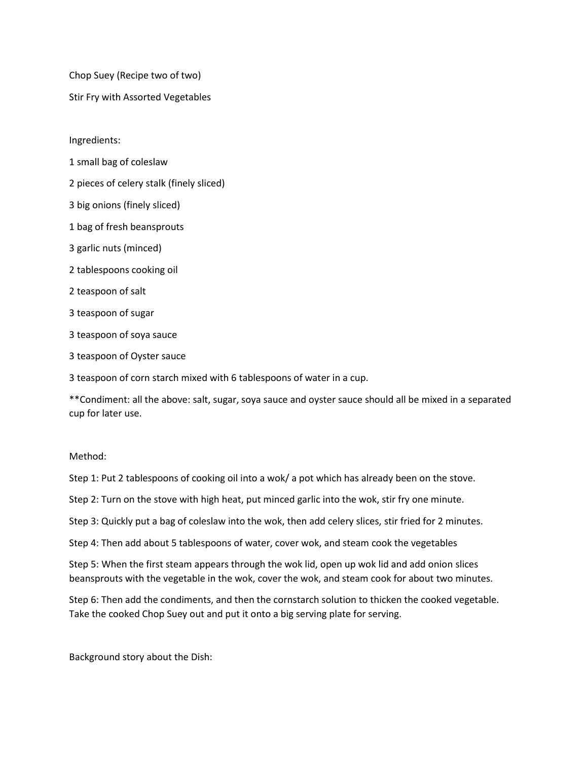Chop Suey (Recipe two of two)

Stir Fry with Assorted Vegetables

Ingredients:

- 1 small bag of coleslaw
- 2 pieces of celery stalk (finely sliced)
- 3 big onions (finely sliced)
- 1 bag of fresh beansprouts
- 3 garlic nuts (minced)
- 2 tablespoons cooking oil
- 2 teaspoon of salt
- 3 teaspoon of sugar
- 3 teaspoon of soya sauce
- 3 teaspoon of Oyster sauce

3 teaspoon of corn starch mixed with 6 tablespoons of water in a cup.

\*\*Condiment: all the above: salt, sugar, soya sauce and oyster sauce should all be mixed in a separated cup for later use.

## Method:

Step 1: Put 2 tablespoons of cooking oil into a wok/ a pot which has already been on the stove.

Step 2: Turn on the stove with high heat, put minced garlic into the wok, stir fry one minute.

Step 3: Quickly put a bag of coleslaw into the wok, then add celery slices, stir fried for 2 minutes.

Step 4: Then add about 5 tablespoons of water, cover wok, and steam cook the vegetables

Step 5: When the first steam appears through the wok lid, open up wok lid and add onion slices beansprouts with the vegetable in the wok, cover the wok, and steam cook for about two minutes.

Step 6: Then add the condiments, and then the cornstarch solution to thicken the cooked vegetable. Take the cooked Chop Suey out and put it onto a big serving plate for serving.

Background story about the Dish: